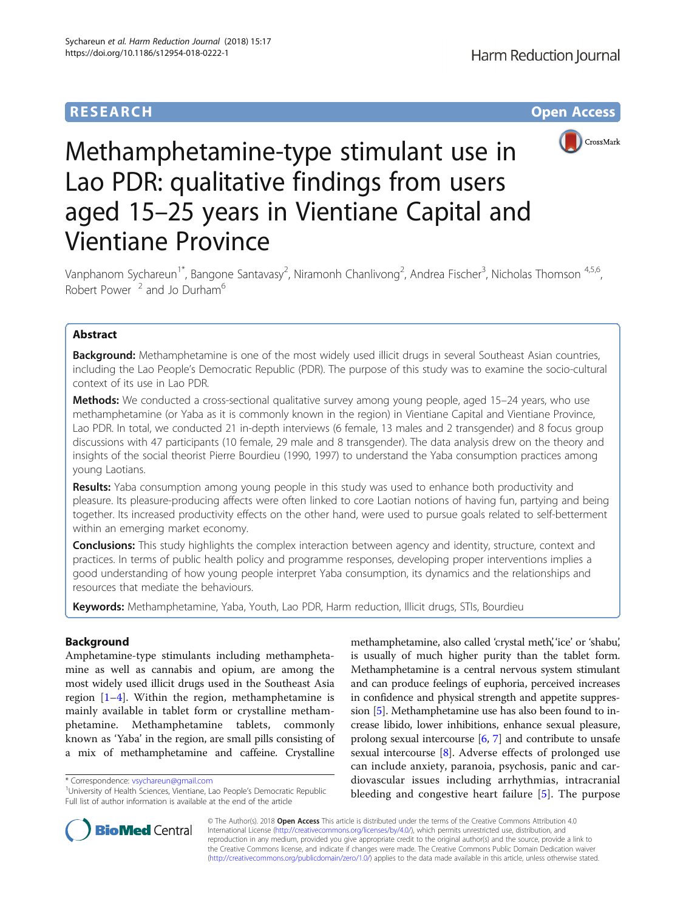## **RESEARCH CHE Open Access**



# Methamphetamine-type stimulant use in Lao PDR: qualitative findings from users aged 15–25 years in Vientiane Capital and Vientiane Province

Vanphanom Sychareun<sup>1\*</sup>, Bangone Santavasy<sup>2</sup>, Niramonh Chanlivong<sup>2</sup>, Andrea Fischer<sup>3</sup>, Nicholas Thomson <sup>4,5,6</sup>, Robert Power<sup>2</sup> and Jo Durham<sup>6</sup>

## Abstract

Background: Methamphetamine is one of the most widely used illicit drugs in several Southeast Asian countries, including the Lao People's Democratic Republic (PDR). The purpose of this study was to examine the socio-cultural context of its use in Lao PDR.

Methods: We conducted a cross-sectional qualitative survey among young people, aged 15–24 years, who use methamphetamine (or Yaba as it is commonly known in the region) in Vientiane Capital and Vientiane Province, Lao PDR. In total, we conducted 21 in-depth interviews (6 female, 13 males and 2 transgender) and 8 focus group discussions with 47 participants (10 female, 29 male and 8 transgender). The data analysis drew on the theory and insights of the social theorist Pierre Bourdieu (1990, 1997) to understand the Yaba consumption practices among young Laotians.

Results: Yaba consumption among young people in this study was used to enhance both productivity and pleasure. Its pleasure-producing affects were often linked to core Laotian notions of having fun, partying and being together. Its increased productivity effects on the other hand, were used to pursue goals related to self-betterment within an emerging market economy.

Conclusions: This study highlights the complex interaction between agency and identity, structure, context and practices. In terms of public health policy and programme responses, developing proper interventions implies a good understanding of how young people interpret Yaba consumption, its dynamics and the relationships and resources that mediate the behaviours.

Keywords: Methamphetamine, Yaba, Youth, Lao PDR, Harm reduction, Illicit drugs, STIs, Bourdieu

### Background

Amphetamine-type stimulants including methamphetamine as well as cannabis and opium, are among the most widely used illicit drugs used in the Southeast Asia region  $[1-4]$  $[1-4]$  $[1-4]$  $[1-4]$ . Within the region, methamphetamine is mainly available in tablet form or crystalline methamphetamine. Methamphetamine tablets, commonly known as 'Yaba' in the region, are small pills consisting of a mix of methamphetamine and caffeine. Crystalline

\* Correspondence: [vsychareun@gmail.com](mailto:vsychareun@gmail.com) <sup>1</sup>

methamphetamine, also called 'crystal meth', 'ice' or 'shabu', is usually of much higher purity than the tablet form. Methamphetamine is a central nervous system stimulant and can produce feelings of euphoria, perceived increases in confidence and physical strength and appetite suppression [\[5\]](#page-7-0). Methamphetamine use has also been found to increase libido, lower inhibitions, enhance sexual pleasure, prolong sexual intercourse  $[6, 7]$  $[6, 7]$  $[6, 7]$  and contribute to unsafe sexual intercourse [[8\]](#page-7-0). Adverse effects of prolonged use can include anxiety, paranoia, psychosis, panic and cardiovascular issues including arrhythmias, intracranial bleeding and congestive heart failure [[5](#page-7-0)]. The purpose



© The Author(s). 2018 Open Access This article is distributed under the terms of the Creative Commons Attribution 4.0 International License [\(http://creativecommons.org/licenses/by/4.0/](http://creativecommons.org/licenses/by/4.0/)), which permits unrestricted use, distribution, and reproduction in any medium, provided you give appropriate credit to the original author(s) and the source, provide a link to the Creative Commons license, and indicate if changes were made. The Creative Commons Public Domain Dedication waiver [\(http://creativecommons.org/publicdomain/zero/1.0/](http://creativecommons.org/publicdomain/zero/1.0/)) applies to the data made available in this article, unless otherwise stated.

<sup>&</sup>lt;sup>1</sup>University of Health Sciences, Vientiane, Lao People's Democratic Republic Full list of author information is available at the end of the article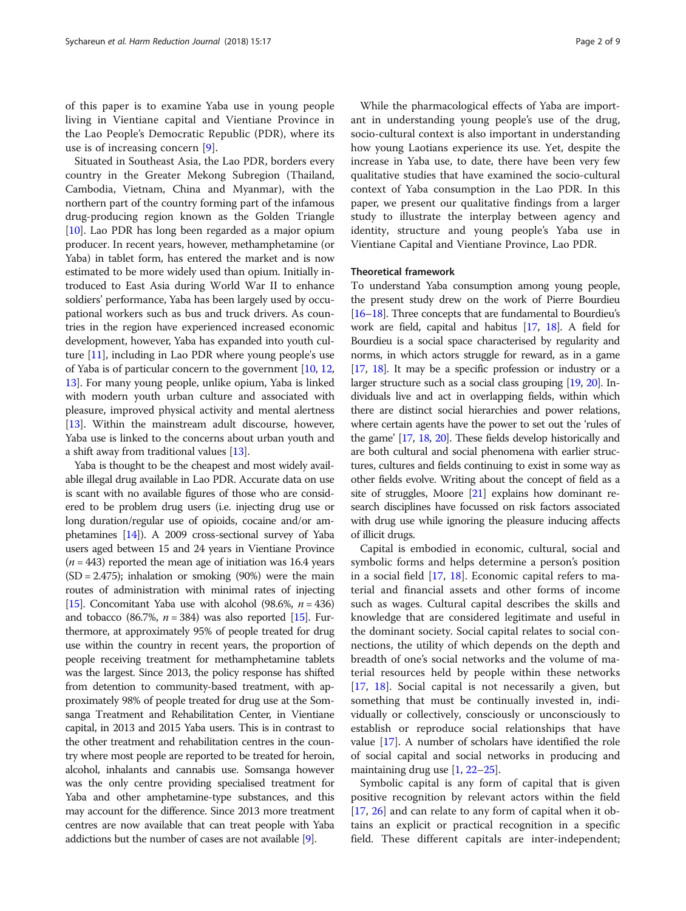of this paper is to examine Yaba use in young people living in Vientiane capital and Vientiane Province in the Lao People's Democratic Republic (PDR), where its use is of increasing concern [[9\]](#page-7-0).

Situated in Southeast Asia, the Lao PDR, borders every country in the Greater Mekong Subregion (Thailand, Cambodia, Vietnam, China and Myanmar), with the northern part of the country forming part of the infamous drug-producing region known as the Golden Triangle [[10](#page-7-0)]. Lao PDR has long been regarded as a major opium producer. In recent years, however, methamphetamine (or Yaba) in tablet form, has entered the market and is now estimated to be more widely used than opium. Initially introduced to East Asia during World War II to enhance soldiers' performance, Yaba has been largely used by occupational workers such as bus and truck drivers. As countries in the region have experienced increased economic development, however, Yaba has expanded into youth culture [\[11\]](#page-7-0), including in Lao PDR where young people's use of Yaba is of particular concern to the government [\[10,](#page-7-0) [12](#page-7-0), [13](#page-7-0)]. For many young people, unlike opium, Yaba is linked with modern youth urban culture and associated with pleasure, improved physical activity and mental alertness [[13](#page-7-0)]. Within the mainstream adult discourse, however, Yaba use is linked to the concerns about urban youth and a shift away from traditional values [\[13\]](#page-7-0).

Yaba is thought to be the cheapest and most widely available illegal drug available in Lao PDR. Accurate data on use is scant with no available figures of those who are considered to be problem drug users (i.e. injecting drug use or long duration/regular use of opioids, cocaine and/or amphetamines [\[14\]](#page-7-0)). A 2009 cross-sectional survey of Yaba users aged between 15 and 24 years in Vientiane Province  $(n = 443)$  reported the mean age of initiation was 16.4 years  $(SD = 2.475)$ ; inhalation or smoking  $(90\%)$  were the main routes of administration with minimal rates of injecting [[15](#page-7-0)]. Concomitant Yaba use with alcohol (98.6%,  $n = 436$ ) and tobacco (86.7%,  $n = 384$ ) was also reported [\[15\]](#page-7-0). Furthermore, at approximately 95% of people treated for drug use within the country in recent years, the proportion of people receiving treatment for methamphetamine tablets was the largest. Since 2013, the policy response has shifted from detention to community-based treatment, with approximately 98% of people treated for drug use at the Somsanga Treatment and Rehabilitation Center, in Vientiane capital, in 2013 and 2015 Yaba users. This is in contrast to the other treatment and rehabilitation centres in the country where most people are reported to be treated for heroin, alcohol, inhalants and cannabis use. Somsanga however was the only centre providing specialised treatment for Yaba and other amphetamine-type substances, and this may account for the difference. Since 2013 more treatment centres are now available that can treat people with Yaba addictions but the number of cases are not available [\[9](#page-7-0)].

While the pharmacological effects of Yaba are important in understanding young people's use of the drug, socio-cultural context is also important in understanding how young Laotians experience its use. Yet, despite the increase in Yaba use, to date, there have been very few qualitative studies that have examined the socio-cultural context of Yaba consumption in the Lao PDR. In this paper, we present our qualitative findings from a larger study to illustrate the interplay between agency and identity, structure and young people's Yaba use in Vientiane Capital and Vientiane Province, Lao PDR.

#### Theoretical framework

To understand Yaba consumption among young people, the present study drew on the work of Pierre Bourdieu [[16](#page-7-0)–[18](#page-7-0)]. Three concepts that are fundamental to Bourdieu's work are field, capital and habitus [\[17,](#page-7-0) [18](#page-7-0)]. A field for Bourdieu is a social space characterised by regularity and norms, in which actors struggle for reward, as in a game [[17](#page-7-0), [18\]](#page-7-0). It may be a specific profession or industry or a larger structure such as a social class grouping [[19](#page-7-0), [20\]](#page-7-0). Individuals live and act in overlapping fields, within which there are distinct social hierarchies and power relations, where certain agents have the power to set out the 'rules of the game' [\[17](#page-7-0), [18,](#page-7-0) [20](#page-7-0)]. These fields develop historically and are both cultural and social phenomena with earlier structures, cultures and fields continuing to exist in some way as other fields evolve. Writing about the concept of field as a site of struggles, Moore [\[21](#page-7-0)] explains how dominant research disciplines have focussed on risk factors associated with drug use while ignoring the pleasure inducing affects of illicit drugs.

Capital is embodied in economic, cultural, social and symbolic forms and helps determine a person's position in a social field [\[17](#page-7-0), [18\]](#page-7-0). Economic capital refers to material and financial assets and other forms of income such as wages. Cultural capital describes the skills and knowledge that are considered legitimate and useful in the dominant society. Social capital relates to social connections, the utility of which depends on the depth and breadth of one's social networks and the volume of material resources held by people within these networks [[17,](#page-7-0) [18\]](#page-7-0). Social capital is not necessarily a given, but something that must be continually invested in, individually or collectively, consciously or unconsciously to establish or reproduce social relationships that have value [[17\]](#page-7-0). A number of scholars have identified the role of social capital and social networks in producing and maintaining drug use [\[1,](#page-7-0) [22](#page-7-0)–[25\]](#page-7-0).

Symbolic capital is any form of capital that is given positive recognition by relevant actors within the field [[17,](#page-7-0) [26\]](#page-7-0) and can relate to any form of capital when it obtains an explicit or practical recognition in a specific field. These different capitals are inter-independent;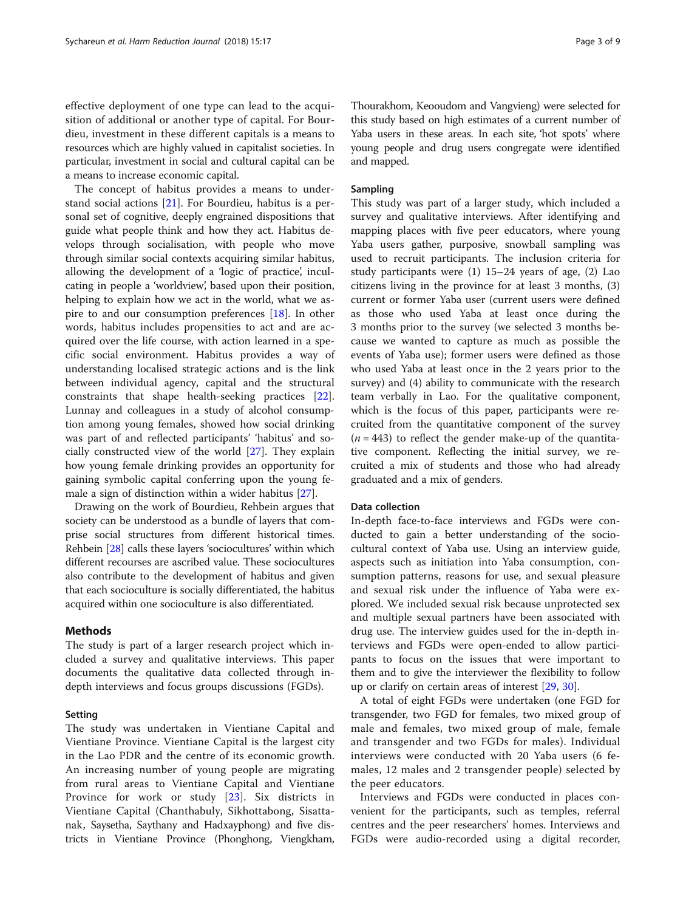The concept of habitus provides a means to understand social actions [[21\]](#page-7-0). For Bourdieu, habitus is a personal set of cognitive, deeply engrained dispositions that guide what people think and how they act. Habitus develops through socialisation, with people who move through similar social contexts acquiring similar habitus, allowing the development of a 'logic of practice', inculcating in people a 'worldview', based upon their position, helping to explain how we act in the world, what we aspire to and our consumption preferences [\[18\]](#page-7-0). In other words, habitus includes propensities to act and are acquired over the life course, with action learned in a specific social environment. Habitus provides a way of understanding localised strategic actions and is the link between individual agency, capital and the structural constraints that shape health-seeking practices [\[22](#page-7-0)]. Lunnay and colleagues in a study of alcohol consumption among young females, showed how social drinking was part of and reflected participants' 'habitus' and socially constructed view of the world [[27\]](#page-7-0). They explain how young female drinking provides an opportunity for gaining symbolic capital conferring upon the young female a sign of distinction within a wider habitus [[27\]](#page-7-0).

Drawing on the work of Bourdieu, Rehbein argues that society can be understood as a bundle of layers that comprise social structures from different historical times. Rehbein [\[28\]](#page-7-0) calls these layers 'sociocultures' within which different recourses are ascribed value. These sociocultures also contribute to the development of habitus and given that each socioculture is socially differentiated, the habitus acquired within one socioculture is also differentiated.

#### Methods

The study is part of a larger research project which included a survey and qualitative interviews. This paper documents the qualitative data collected through indepth interviews and focus groups discussions (FGDs).

#### Setting

The study was undertaken in Vientiane Capital and Vientiane Province. Vientiane Capital is the largest city in the Lao PDR and the centre of its economic growth. An increasing number of young people are migrating from rural areas to Vientiane Capital and Vientiane Province for work or study [\[23](#page-7-0)]. Six districts in Vientiane Capital (Chanthabuly, Sikhottabong, Sisattanak, Saysetha, Saythany and Hadxayphong) and five districts in Vientiane Province (Phonghong, Viengkham,

Thourakhom, Keooudom and Vangvieng) were selected for this study based on high estimates of a current number of Yaba users in these areas. In each site, 'hot spots' where young people and drug users congregate were identified and mapped.

#### Sampling

This study was part of a larger study, which included a survey and qualitative interviews. After identifying and mapping places with five peer educators, where young Yaba users gather, purposive, snowball sampling was used to recruit participants. The inclusion criteria for study participants were (1) 15–24 years of age, (2) Lao citizens living in the province for at least 3 months, (3) current or former Yaba user (current users were defined as those who used Yaba at least once during the 3 months prior to the survey (we selected 3 months because we wanted to capture as much as possible the events of Yaba use); former users were defined as those who used Yaba at least once in the 2 years prior to the survey) and (4) ability to communicate with the research team verbally in Lao. For the qualitative component, which is the focus of this paper, participants were recruited from the quantitative component of the survey  $(n = 443)$  to reflect the gender make-up of the quantitative component. Reflecting the initial survey, we recruited a mix of students and those who had already graduated and a mix of genders.

#### Data collection

In-depth face-to-face interviews and FGDs were conducted to gain a better understanding of the sociocultural context of Yaba use. Using an interview guide, aspects such as initiation into Yaba consumption, consumption patterns, reasons for use, and sexual pleasure and sexual risk under the influence of Yaba were explored. We included sexual risk because unprotected sex and multiple sexual partners have been associated with drug use. The interview guides used for the in-depth interviews and FGDs were open-ended to allow participants to focus on the issues that were important to them and to give the interviewer the flexibility to follow up or clarify on certain areas of interest [\[29](#page-7-0), [30](#page-7-0)].

A total of eight FGDs were undertaken (one FGD for transgender, two FGD for females, two mixed group of male and females, two mixed group of male, female and transgender and two FGDs for males). Individual interviews were conducted with 20 Yaba users (6 females, 12 males and 2 transgender people) selected by the peer educators.

Interviews and FGDs were conducted in places convenient for the participants, such as temples, referral centres and the peer researchers' homes. Interviews and FGDs were audio-recorded using a digital recorder,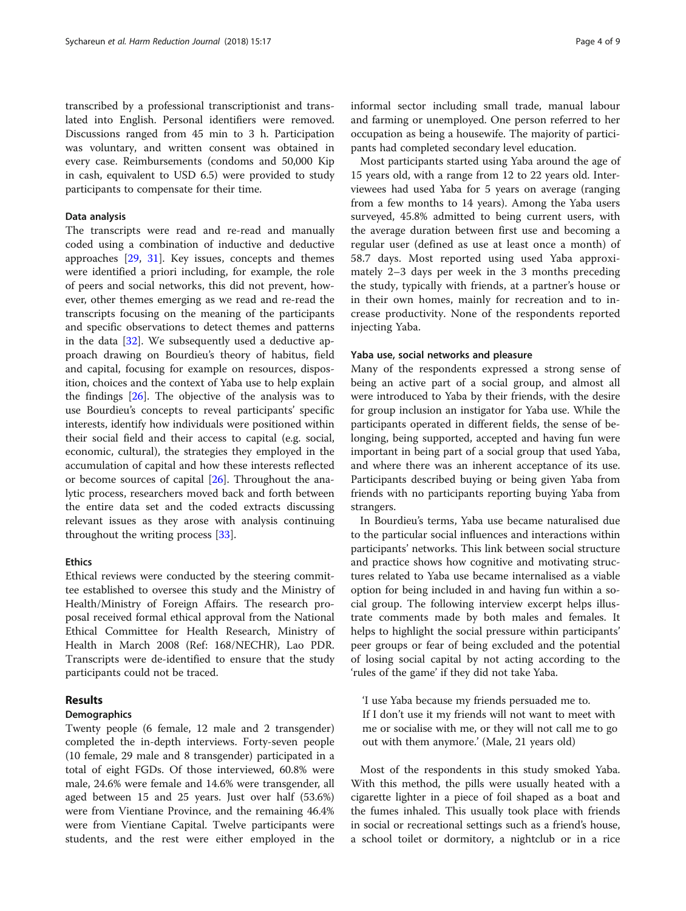transcribed by a professional transcriptionist and translated into English. Personal identifiers were removed. Discussions ranged from 45 min to 3 h. Participation was voluntary, and written consent was obtained in every case. Reimbursements (condoms and 50,000 Kip in cash, equivalent to USD 6.5) were provided to study participants to compensate for their time.

#### Data analysis

The transcripts were read and re-read and manually coded using a combination of inductive and deductive approaches [[29,](#page-7-0) [31\]](#page-7-0). Key issues, concepts and themes were identified a priori including, for example, the role of peers and social networks, this did not prevent, however, other themes emerging as we read and re-read the transcripts focusing on the meaning of the participants and specific observations to detect themes and patterns in the data  $[32]$  $[32]$  $[32]$ . We subsequently used a deductive approach drawing on Bourdieu's theory of habitus, field and capital, focusing for example on resources, disposition, choices and the context of Yaba use to help explain the findings [[26](#page-7-0)]. The objective of the analysis was to use Bourdieu's concepts to reveal participants' specific interests, identify how individuals were positioned within their social field and their access to capital (e.g. social, economic, cultural), the strategies they employed in the accumulation of capital and how these interests reflected or become sources of capital [\[26\]](#page-7-0). Throughout the analytic process, researchers moved back and forth between the entire data set and the coded extracts discussing relevant issues as they arose with analysis continuing throughout the writing process [\[33\]](#page-8-0).

#### Ethics

Ethical reviews were conducted by the steering committee established to oversee this study and the Ministry of Health/Ministry of Foreign Affairs. The research proposal received formal ethical approval from the National Ethical Committee for Health Research, Ministry of Health in March 2008 (Ref: 168/NECHR), Lao PDR. Transcripts were de-identified to ensure that the study participants could not be traced.

#### Results

#### Demographics

Twenty people (6 female, 12 male and 2 transgender) completed the in-depth interviews. Forty-seven people (10 female, 29 male and 8 transgender) participated in a total of eight FGDs. Of those interviewed, 60.8% were male, 24.6% were female and 14.6% were transgender, all aged between 15 and 25 years. Just over half (53.6%) were from Vientiane Province, and the remaining 46.4% were from Vientiane Capital. Twelve participants were students, and the rest were either employed in the

informal sector including small trade, manual labour and farming or unemployed. One person referred to her occupation as being a housewife. The majority of participants had completed secondary level education.

Most participants started using Yaba around the age of 15 years old, with a range from 12 to 22 years old. Interviewees had used Yaba for 5 years on average (ranging from a few months to 14 years). Among the Yaba users surveyed, 45.8% admitted to being current users, with the average duration between first use and becoming a regular user (defined as use at least once a month) of 58.7 days. Most reported using used Yaba approximately 2–3 days per week in the 3 months preceding the study, typically with friends, at a partner's house or in their own homes, mainly for recreation and to increase productivity. None of the respondents reported injecting Yaba.

#### Yaba use, social networks and pleasure

Many of the respondents expressed a strong sense of being an active part of a social group, and almost all were introduced to Yaba by their friends, with the desire for group inclusion an instigator for Yaba use. While the participants operated in different fields, the sense of belonging, being supported, accepted and having fun were important in being part of a social group that used Yaba, and where there was an inherent acceptance of its use. Participants described buying or being given Yaba from friends with no participants reporting buying Yaba from strangers.

In Bourdieu's terms, Yaba use became naturalised due to the particular social influences and interactions within participants' networks. This link between social structure and practice shows how cognitive and motivating structures related to Yaba use became internalised as a viable option for being included in and having fun within a social group. The following interview excerpt helps illustrate comments made by both males and females. It helps to highlight the social pressure within participants' peer groups or fear of being excluded and the potential of losing social capital by not acting according to the 'rules of the game' if they did not take Yaba.

'I use Yaba because my friends persuaded me to. If I don't use it my friends will not want to meet with me or socialise with me, or they will not call me to go out with them anymore.' (Male, 21 years old)

Most of the respondents in this study smoked Yaba. With this method, the pills were usually heated with a cigarette lighter in a piece of foil shaped as a boat and the fumes inhaled. This usually took place with friends in social or recreational settings such as a friend's house, a school toilet or dormitory, a nightclub or in a rice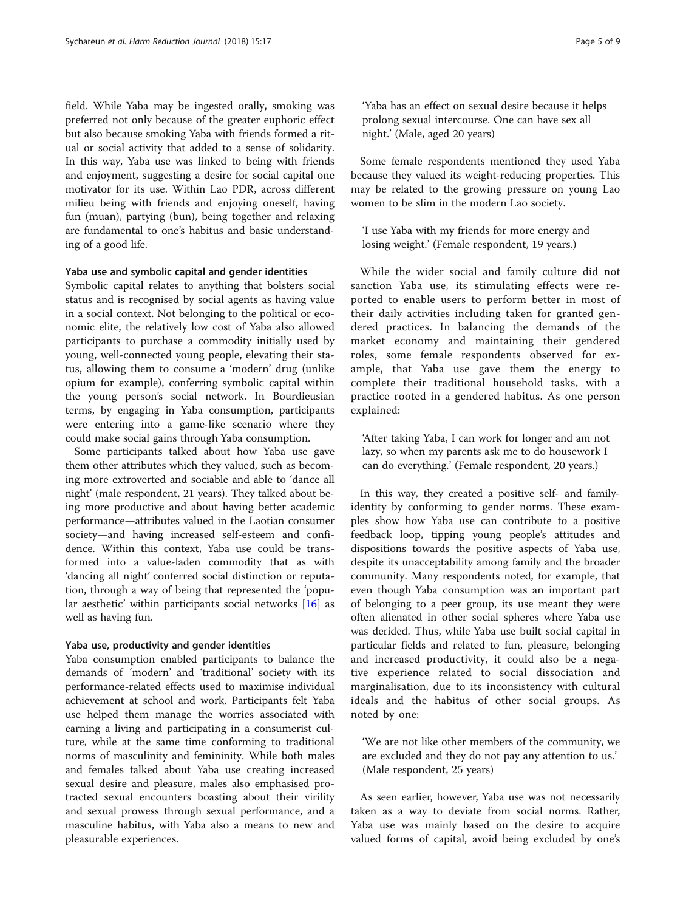field. While Yaba may be ingested orally, smoking was preferred not only because of the greater euphoric effect but also because smoking Yaba with friends formed a ritual or social activity that added to a sense of solidarity. In this way, Yaba use was linked to being with friends and enjoyment, suggesting a desire for social capital one motivator for its use. Within Lao PDR, across different milieu being with friends and enjoying oneself, having fun (muan), partying (bun), being together and relaxing are fundamental to one's habitus and basic understanding of a good life.

#### Yaba use and symbolic capital and gender identities

Symbolic capital relates to anything that bolsters social status and is recognised by social agents as having value in a social context. Not belonging to the political or economic elite, the relatively low cost of Yaba also allowed participants to purchase a commodity initially used by young, well-connected young people, elevating their status, allowing them to consume a 'modern' drug (unlike opium for example), conferring symbolic capital within the young person's social network. In Bourdieusian terms, by engaging in Yaba consumption, participants were entering into a game-like scenario where they could make social gains through Yaba consumption.

Some participants talked about how Yaba use gave them other attributes which they valued, such as becoming more extroverted and sociable and able to 'dance all night' (male respondent, 21 years). They talked about being more productive and about having better academic performance—attributes valued in the Laotian consumer society—and having increased self-esteem and confidence. Within this context, Yaba use could be transformed into a value-laden commodity that as with 'dancing all night' conferred social distinction or reputation, through a way of being that represented the 'popular aesthetic' within participants social networks [\[16](#page-7-0)] as well as having fun.

#### Yaba use, productivity and gender identities

Yaba consumption enabled participants to balance the demands of 'modern' and 'traditional' society with its performance-related effects used to maximise individual achievement at school and work. Participants felt Yaba use helped them manage the worries associated with earning a living and participating in a consumerist culture, while at the same time conforming to traditional norms of masculinity and femininity. While both males and females talked about Yaba use creating increased sexual desire and pleasure, males also emphasised protracted sexual encounters boasting about their virility and sexual prowess through sexual performance, and a masculine habitus, with Yaba also a means to new and pleasurable experiences.

'Yaba has an effect on sexual desire because it helps prolong sexual intercourse. One can have sex all night.' (Male, aged 20 years)

Some female respondents mentioned they used Yaba because they valued its weight-reducing properties. This may be related to the growing pressure on young Lao women to be slim in the modern Lao society.

'I use Yaba with my friends for more energy and losing weight.' (Female respondent, 19 years.)

While the wider social and family culture did not sanction Yaba use, its stimulating effects were reported to enable users to perform better in most of their daily activities including taken for granted gendered practices. In balancing the demands of the market economy and maintaining their gendered roles, some female respondents observed for example, that Yaba use gave them the energy to complete their traditional household tasks, with a practice rooted in a gendered habitus. As one person explained:

'After taking Yaba, I can work for longer and am not lazy, so when my parents ask me to do housework I can do everything.' (Female respondent, 20 years.)

In this way, they created a positive self- and familyidentity by conforming to gender norms. These examples show how Yaba use can contribute to a positive feedback loop, tipping young people's attitudes and dispositions towards the positive aspects of Yaba use, despite its unacceptability among family and the broader community. Many respondents noted, for example, that even though Yaba consumption was an important part of belonging to a peer group, its use meant they were often alienated in other social spheres where Yaba use was derided. Thus, while Yaba use built social capital in particular fields and related to fun, pleasure, belonging and increased productivity, it could also be a negative experience related to social dissociation and marginalisation, due to its inconsistency with cultural ideals and the habitus of other social groups. As noted by one:

'We are not like other members of the community, we are excluded and they do not pay any attention to us.' (Male respondent, 25 years)

As seen earlier, however, Yaba use was not necessarily taken as a way to deviate from social norms. Rather, Yaba use was mainly based on the desire to acquire valued forms of capital, avoid being excluded by one's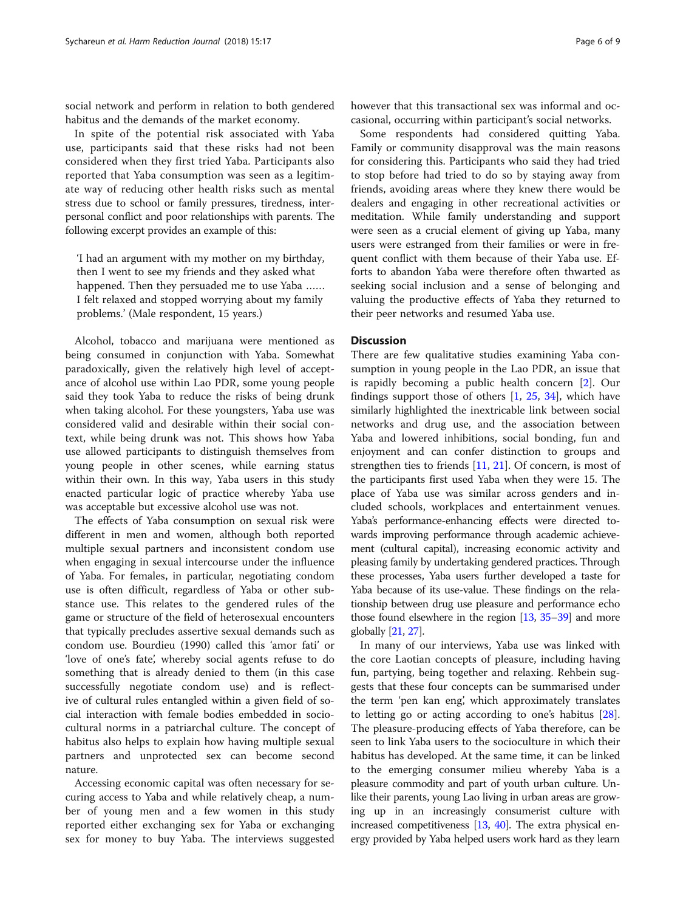social network and perform in relation to both gendered habitus and the demands of the market economy.

In spite of the potential risk associated with Yaba use, participants said that these risks had not been considered when they first tried Yaba. Participants also reported that Yaba consumption was seen as a legitimate way of reducing other health risks such as mental stress due to school or family pressures, tiredness, interpersonal conflict and poor relationships with parents. The following excerpt provides an example of this:

'I had an argument with my mother on my birthday, then I went to see my friends and they asked what happened. Then they persuaded me to use Yaba …… I felt relaxed and stopped worrying about my family problems.' (Male respondent, 15 years.)

Alcohol, tobacco and marijuana were mentioned as being consumed in conjunction with Yaba. Somewhat paradoxically, given the relatively high level of acceptance of alcohol use within Lao PDR, some young people said they took Yaba to reduce the risks of being drunk when taking alcohol. For these youngsters, Yaba use was considered valid and desirable within their social context, while being drunk was not. This shows how Yaba use allowed participants to distinguish themselves from young people in other scenes, while earning status within their own. In this way, Yaba users in this study enacted particular logic of practice whereby Yaba use was acceptable but excessive alcohol use was not.

The effects of Yaba consumption on sexual risk were different in men and women, although both reported multiple sexual partners and inconsistent condom use when engaging in sexual intercourse under the influence of Yaba. For females, in particular, negotiating condom use is often difficult, regardless of Yaba or other substance use. This relates to the gendered rules of the game or structure of the field of heterosexual encounters that typically precludes assertive sexual demands such as condom use. Bourdieu (1990) called this 'amor fati' or 'love of one's fate', whereby social agents refuse to do something that is already denied to them (in this case successfully negotiate condom use) and is reflective of cultural rules entangled within a given field of social interaction with female bodies embedded in sociocultural norms in a patriarchal culture. The concept of habitus also helps to explain how having multiple sexual partners and unprotected sex can become second nature.

Accessing economic capital was often necessary for securing access to Yaba and while relatively cheap, a number of young men and a few women in this study reported either exchanging sex for Yaba or exchanging sex for money to buy Yaba. The interviews suggested however that this transactional sex was informal and occasional, occurring within participant's social networks.

Some respondents had considered quitting Yaba. Family or community disapproval was the main reasons for considering this. Participants who said they had tried to stop before had tried to do so by staying away from friends, avoiding areas where they knew there would be dealers and engaging in other recreational activities or meditation. While family understanding and support were seen as a crucial element of giving up Yaba, many users were estranged from their families or were in frequent conflict with them because of their Yaba use. Efforts to abandon Yaba were therefore often thwarted as seeking social inclusion and a sense of belonging and valuing the productive effects of Yaba they returned to their peer networks and resumed Yaba use.

#### **Discussion**

There are few qualitative studies examining Yaba consumption in young people in the Lao PDR, an issue that is rapidly becoming a public health concern [\[2](#page-7-0)]. Our findings support those of others  $[1, 25, 34]$  $[1, 25, 34]$  $[1, 25, 34]$  $[1, 25, 34]$  $[1, 25, 34]$ , which have similarly highlighted the inextricable link between social networks and drug use, and the association between Yaba and lowered inhibitions, social bonding, fun and enjoyment and can confer distinction to groups and strengthen ties to friends  $[11, 21]$  $[11, 21]$  $[11, 21]$  $[11, 21]$ . Of concern, is most of the participants first used Yaba when they were 15. The place of Yaba use was similar across genders and included schools, workplaces and entertainment venues. Yaba's performance-enhancing effects were directed towards improving performance through academic achievement (cultural capital), increasing economic activity and pleasing family by undertaking gendered practices. Through these processes, Yaba users further developed a taste for Yaba because of its use-value. These findings on the relationship between drug use pleasure and performance echo those found elsewhere in the region [\[13,](#page-7-0) [35](#page-8-0)–[39\]](#page-8-0) and more globally [\[21,](#page-7-0) [27\]](#page-7-0).

In many of our interviews, Yaba use was linked with the core Laotian concepts of pleasure, including having fun, partying, being together and relaxing. Rehbein suggests that these four concepts can be summarised under the term 'pen kan eng', which approximately translates to letting go or acting according to one's habitus [\[28](#page-7-0)]. The pleasure-producing effects of Yaba therefore, can be seen to link Yaba users to the socioculture in which their habitus has developed. At the same time, it can be linked to the emerging consumer milieu whereby Yaba is a pleasure commodity and part of youth urban culture. Unlike their parents, young Lao living in urban areas are growing up in an increasingly consumerist culture with increased competitiveness [\[13,](#page-7-0) [40\]](#page-8-0). The extra physical energy provided by Yaba helped users work hard as they learn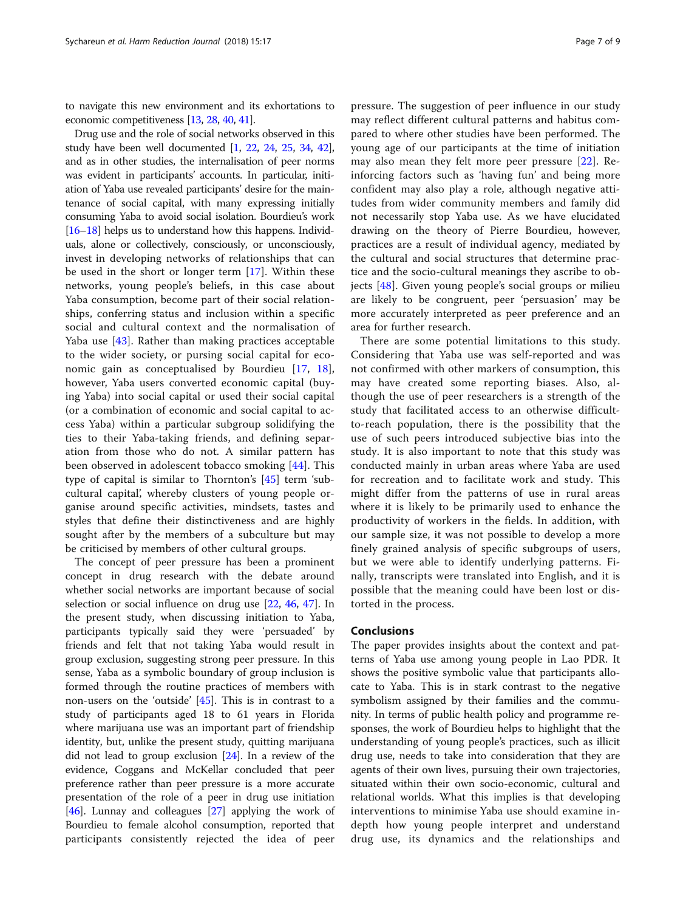to navigate this new environment and its exhortations to economic competitiveness [\[13,](#page-7-0) [28,](#page-7-0) [40,](#page-8-0) [41\]](#page-8-0).

Drug use and the role of social networks observed in this study have been well documented [[1,](#page-7-0) [22](#page-7-0), [24,](#page-7-0) [25](#page-7-0), [34,](#page-8-0) [42](#page-8-0)], and as in other studies, the internalisation of peer norms was evident in participants' accounts. In particular, initiation of Yaba use revealed participants' desire for the maintenance of social capital, with many expressing initially consuming Yaba to avoid social isolation. Bourdieu's work [[16](#page-7-0)–[18\]](#page-7-0) helps us to understand how this happens. Individuals, alone or collectively, consciously, or unconsciously, invest in developing networks of relationships that can be used in the short or longer term [[17\]](#page-7-0). Within these networks, young people's beliefs, in this case about Yaba consumption, become part of their social relationships, conferring status and inclusion within a specific social and cultural context and the normalisation of Yaba use [\[43](#page-8-0)]. Rather than making practices acceptable to the wider society, or pursing social capital for economic gain as conceptualised by Bourdieu [[17,](#page-7-0) [18](#page-7-0)], however, Yaba users converted economic capital (buying Yaba) into social capital or used their social capital (or a combination of economic and social capital to access Yaba) within a particular subgroup solidifying the ties to their Yaba-taking friends, and defining separation from those who do not. A similar pattern has been observed in adolescent tobacco smoking [[44\]](#page-8-0). This type of capital is similar to Thornton's [[45\]](#page-8-0) term 'subcultural capital', whereby clusters of young people organise around specific activities, mindsets, tastes and styles that define their distinctiveness and are highly sought after by the members of a subculture but may be criticised by members of other cultural groups.

The concept of peer pressure has been a prominent concept in drug research with the debate around whether social networks are important because of social selection or social influence on drug use [\[22](#page-7-0), [46,](#page-8-0) [47](#page-8-0)]. In the present study, when discussing initiation to Yaba, participants typically said they were 'persuaded' by friends and felt that not taking Yaba would result in group exclusion, suggesting strong peer pressure. In this sense, Yaba as a symbolic boundary of group inclusion is formed through the routine practices of members with non-users on the 'outside' [\[45](#page-8-0)]. This is in contrast to a study of participants aged 18 to 61 years in Florida where marijuana use was an important part of friendship identity, but, unlike the present study, quitting marijuana did not lead to group exclusion [\[24\]](#page-7-0). In a review of the evidence, Coggans and McKellar concluded that peer preference rather than peer pressure is a more accurate presentation of the role of a peer in drug use initiation [[46](#page-8-0)]. Lunnay and colleagues [\[27\]](#page-7-0) applying the work of Bourdieu to female alcohol consumption, reported that participants consistently rejected the idea of peer

pressure. The suggestion of peer influence in our study may reflect different cultural patterns and habitus compared to where other studies have been performed. The young age of our participants at the time of initiation may also mean they felt more peer pressure [[22\]](#page-7-0). Reinforcing factors such as 'having fun' and being more confident may also play a role, although negative attitudes from wider community members and family did not necessarily stop Yaba use. As we have elucidated drawing on the theory of Pierre Bourdieu, however, practices are a result of individual agency, mediated by the cultural and social structures that determine practice and the socio-cultural meanings they ascribe to objects [\[48](#page-8-0)]. Given young people's social groups or milieu are likely to be congruent, peer 'persuasion' may be more accurately interpreted as peer preference and an area for further research.

There are some potential limitations to this study. Considering that Yaba use was self-reported and was not confirmed with other markers of consumption, this may have created some reporting biases. Also, although the use of peer researchers is a strength of the study that facilitated access to an otherwise difficultto-reach population, there is the possibility that the use of such peers introduced subjective bias into the study. It is also important to note that this study was conducted mainly in urban areas where Yaba are used for recreation and to facilitate work and study. This might differ from the patterns of use in rural areas where it is likely to be primarily used to enhance the productivity of workers in the fields. In addition, with our sample size, it was not possible to develop a more finely grained analysis of specific subgroups of users, but we were able to identify underlying patterns. Finally, transcripts were translated into English, and it is possible that the meaning could have been lost or distorted in the process.

#### Conclusions

The paper provides insights about the context and patterns of Yaba use among young people in Lao PDR. It shows the positive symbolic value that participants allocate to Yaba. This is in stark contrast to the negative symbolism assigned by their families and the community. In terms of public health policy and programme responses, the work of Bourdieu helps to highlight that the understanding of young people's practices, such as illicit drug use, needs to take into consideration that they are agents of their own lives, pursuing their own trajectories, situated within their own socio-economic, cultural and relational worlds. What this implies is that developing interventions to minimise Yaba use should examine indepth how young people interpret and understand drug use, its dynamics and the relationships and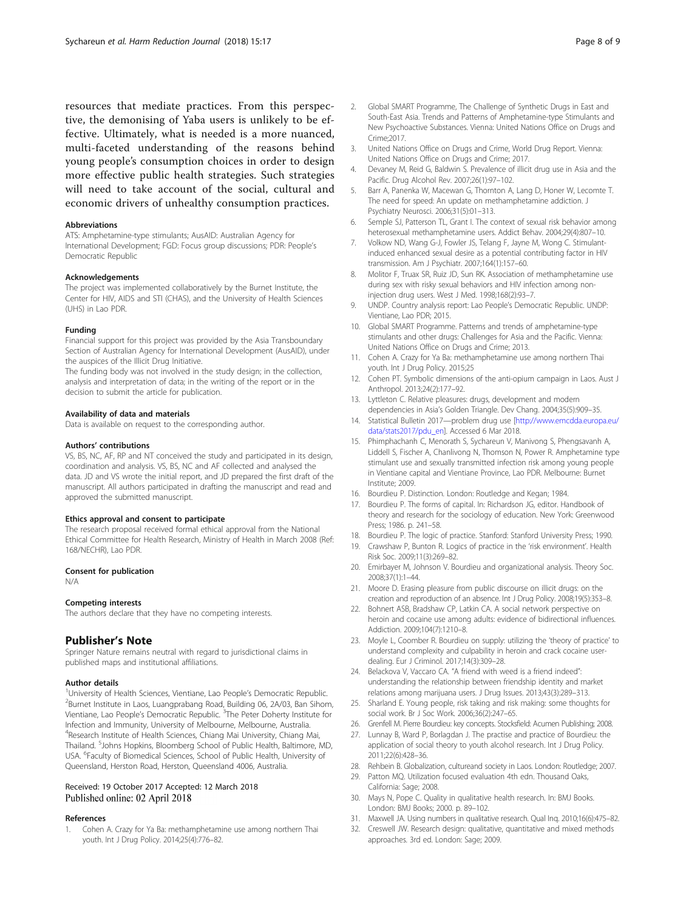<span id="page-7-0"></span>resources that mediate practices. From this perspective, the demonising of Yaba users is unlikely to be effective. Ultimately, what is needed is a more nuanced, multi-faceted understanding of the reasons behind young people's consumption choices in order to design more effective public health strategies. Such strategies will need to take account of the social, cultural and economic drivers of unhealthy consumption practices.

#### Abbreviations

ATS: Amphetamine-type stimulants; AusAID: Australian Agency for International Development; FGD: Focus group discussions; PDR: People's Democratic Republic

#### Acknowledgements

The project was implemented collaboratively by the Burnet Institute, the Center for HIV, AIDS and STI (CHAS), and the University of Health Sciences (UHS) in Lao PDR.

#### Funding

Financial support for this project was provided by the Asia Transboundary Section of Australian Agency for International Development (AusAID), under the auspices of the Illicit Drug Initiative.

The funding body was not involved in the study design; in the collection, analysis and interpretation of data; in the writing of the report or in the decision to submit the article for publication.

#### Availability of data and materials

Data is available on request to the corresponding author.

#### Authors' contributions

VS, BS, NC, AF, RP and NT conceived the study and participated in its design, coordination and analysis. VS, BS, NC and AF collected and analysed the data. JD and VS wrote the initial report, and JD prepared the first draft of the manuscript. All authors participated in drafting the manuscript and read and approved the submitted manuscript.

#### Ethics approval and consent to participate

The research proposal received formal ethical approval from the National Ethical Committee for Health Research, Ministry of Health in March 2008 (Ref: 168/NECHR), Lao PDR.

#### Consent for publication

N/A

#### Competing interests

The authors declare that they have no competing interests.

#### Publisher's Note

Springer Nature remains neutral with regard to jurisdictional claims in published maps and institutional affiliations.

#### Author details

1<br>University of Health Sciences, Vientiane, Lao People's Democratic Republic.<br><sup>2</sup>Burnot Institute in Laos Luangprabang Poad, Building 06, 24/03, Ban Sibor <sup>2</sup>Burnet Institute in Laos, Luangprabang Road, Building 06, 2A/03, Ban Sihom, Vientiane, Lao People's Democratic Republic. <sup>3</sup>The Peter Doherty Institute for Infection and Immunity, University of Melbourne, Melbourne, Australia. 4 Research Institute of Health Sciences, Chiang Mai University, Chiang Mai, Thailand. <sup>5</sup>Johns Hopkins, Bloomberg School of Public Health, Baltimore, MD, USA. <sup>6</sup>Faculty of Biomedical Sciences, School of Public Health, University of Queensland, Herston Road, Herston, Queensland 4006, Australia.

#### Received: 19 October 2017 Accepted: 12 March 2018 Published online: 02 April 2018

#### References

1. Cohen A. Crazy for Ya Ba: methamphetamine use among northern Thai youth. Int J Drug Policy. 2014;25(4):776–82.

- 2. Global SMART Programme, The Challenge of Synthetic Drugs in East and South-East Asia. Trends and Patterns of Amphetamine-type Stimulants and New Psychoactive Substances. Vienna: United Nations Office on Drugs and Crime;2017.
- 3. United Nations Office on Drugs and Crime, World Drug Report. Vienna: United Nations Office on Drugs and Crime; 2017.
- 4. Devaney M, Reid G, Baldwin S. Prevalence of illicit drug use in Asia and the Pacific. Drug Alcohol Rev. 2007;26(1):97–102.
- 5. Barr A, Panenka W, Macewan G, Thornton A, Lang D, Honer W, Lecomte T. The need for speed: An update on methamphetamine addiction. J Psychiatry Neurosci. 2006;31(5):01–313.
- 6. Semple SJ, Patterson TL, Grant I. The context of sexual risk behavior among heterosexual methamphetamine users. Addict Behav. 2004;29(4):807–10.
- 7. Volkow ND, Wang G-J, Fowler JS, Telang F, Jayne M, Wong C. Stimulantinduced enhanced sexual desire as a potential contributing factor in HIV transmission. Am J Psychiatr. 2007;164(1):157–60.
- 8. Molitor F, Truax SR, Ruiz JD, Sun RK. Association of methamphetamine use during sex with risky sexual behaviors and HIV infection among noninjection drug users. West J Med. 1998;168(2):93–7.
- 9. UNDP. Country analysis report: Lao People's Democratic Republic. UNDP: Vientiane, Lao PDR; 2015.
- 10. Global SMART Programme. Patterns and trends of amphetamine-type stimulants and other drugs: Challenges for Asia and the Pacific. Vienna: United Nations Office on Drugs and Crime; 2013.
- 11. Cohen A. Crazy for Ya Ba: methamphetamine use among northern Thai youth. Int J Drug Policy. 2015;25
- 12. Cohen PT. Symbolic dimensions of the anti-opium campaign in Laos. Aust J Anthropol. 2013;24(2):177–92.
- 13. Lyttleton C. Relative pleasures: drugs, development and modern dependencies in Asia's Golden Triangle. Dev Chang. 2004;35(5):909–35.
- 14. Statistical Bulletin 2017—problem drug use [[http://www.emcdda.europa.eu/](http://www.emcdda.europa.eu/data/stats2017/pdu_en) [data/stats2017/pdu\\_en\]](http://www.emcdda.europa.eu/data/stats2017/pdu_en). Accessed 6 Mar 2018.
- 15. Phimphachanh C, Menorath S, Sychareun V, Manivong S, Phengsavanh A, Liddell S, Fischer A, Chanlivong N, Thomson N, Power R. Amphetamine type stimulant use and sexually transmitted infection risk among young people in Vientiane capital and Vientiane Province, Lao PDR. Melbourne: Burnet Institute; 2009.
- 16. Bourdieu P. Distinction. London: Routledge and Kegan; 1984.
- 17. Bourdieu P. The forms of capital. In: Richardson JG, editor. Handbook of theory and research for the sociology of education. New York: Greenwood Press; 1986. p. 241–58.
- 18. Bourdieu P. The logic of practice. Stanford: Stanford University Press; 1990.
- 19. Crawshaw P, Bunton R. Logics of practice in the 'risk environment'. Health Risk Soc. 2009;11(3):269–82.
- 20. Emirbayer M, Johnson V. Bourdieu and organizational analysis. Theory Soc. 2008;37(1):1–44.
- 21. Moore D. Erasing pleasure from public discourse on illicit drugs: on the creation and reproduction of an absence. Int J Drug Policy. 2008;19(5):353–8.
- 22. Bohnert ASB, Bradshaw CP, Latkin CA. A social network perspective on heroin and cocaine use among adults: evidence of bidirectional influences. Addiction. 2009;104(7):1210–8.
- 23. Moyle L, Coomber R. Bourdieu on supply: utilizing the 'theory of practice' to understand complexity and culpability in heroin and crack cocaine userdealing. Eur J Criminol. 2017;14(3):309–28.
- 24. Belackova V, Vaccaro CA. "A friend with weed is a friend indeed": understanding the relationship between friendship identity and market relations among marijuana users. J Drug Issues. 2013;43(3):289–313.
- 25. Sharland E. Young people, risk taking and risk making: some thoughts for social work. Br J Soc Work. 2006;36(2):247–65.
- 26. Grenfell M. Pierre Bourdieu: key concepts. Stocksfield: Acumen Publishing; 2008.
- 27. Lunnay B, Ward P, Borlagdan J. The practise and practice of Bourdieu: the application of social theory to youth alcohol research. Int J Drug Policy. 2011;22(6):428–36.
- 28. Rehbein B. Globalization, cultureand society in Laos. London: Routledge; 2007.
- 29. Patton MQ. Utilization focused evaluation 4th edn. Thousand Oaks, California: Sage; 2008.
- 30. Mays N, Pope C. Quality in qualitative health research. In: BMJ Books. London: BMJ Books; 2000. p. 89–102.
- 31. Maxwell JA. Using numbers in qualitative research. Qual Inq. 2010;16(6):475–82.
- 32. Creswell JW. Research design: qualitative, quantitative and mixed methods approaches. 3rd ed. London: Sage; 2009.